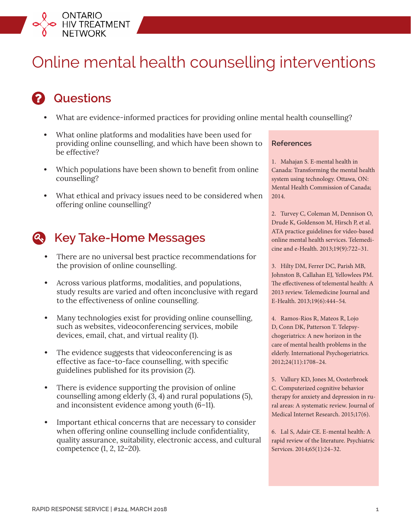

# Online mental health counselling interventions

# **2** Questions

- **•** What are evidence‑informed practices for providing online mental health counselling?
- **•** What online platforms and modalities have been used for providing online counselling, and which have been shown to be effective?
- **•** Which populations have been shown to benefit from online counselling?
- **•** What ethical and privacy issues need to be considered when offering online counselling?

## **Key Take-Home Messages**

- **•** There are no universal best practice recommendations for the provision of online counselling.
- **•** Across various platforms, modalities, and populations, study results are varied and often inconclusive with regard to the effectiveness of online counselling.
- **•** Many technologies exist for providing online counselling, such as websites, videoconferencing services, mobile devices, email, chat, and virtual reality (1).
- **•** The evidence suggests that videoconferencing is as effective as face-to-face counselling, with specific guidelines published for its provision (2).
- **•** There is evidence supporting the provision of online counselling among elderly (3, 4) and rural populations (5), and inconsistent evidence among youth (6–11).
- **•** Important ethical concerns that are necessary to consider when offering online counselling include confidentiality, quality assurance, suitability, electronic access, and cultural competence (1, 2, 12–20).

#### **References**

1. Mahajan S. E-mental health in Canada: Transforming the mental health system using technology. Ottawa, ON: Mental Health Commission of Canada; 2014.

2. Turvey C, Coleman M, Dennison O, Drude K, Goldenson M, Hirsch P, et al. ATA practice guidelines for video-based online mental health services. Telemedicine and e-Health. 2013;19(9):722–31.

3. Hilty DM, Ferrer DC, Parish MB, Johnston B, Callahan EJ, Yellowlees PM. The effectiveness of telemental health: A 2013 review. Telemedicine Journal and E-Health. 2013;19(6):444–54.

4. Ramos-Rios R, Mateos R, Lojo D, Conn DK, Patterson T. Telepsychogeriatrics: A new horizon in the care of mental health problems in the elderly. International Psychogeriatrics. 2012;24(11):1708–24.

5. Vallury KD, Jones M, Oosterbroek C. Computerized cognitive behavior therapy for anxiety and depression in rural areas: A systematic review. Journal of Medical Internet Research. 2015;17(6).

6. Lal S, Adair CE. E-mental health: A rapid review of the literature. Psychiatric Services. 2014;65(1):24–32.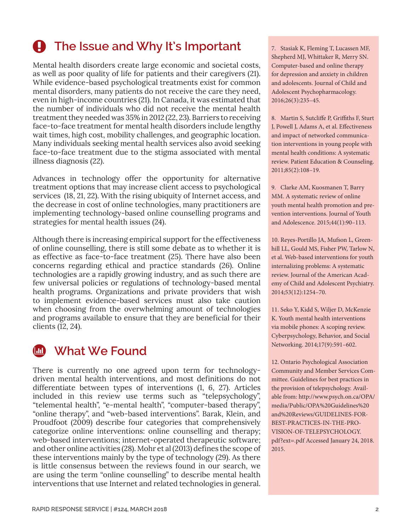## **4** The Issue and Why It's Important

Mental health disorders create large economic and societal costs, as well as poor quality of life for patients and their caregivers (21). While evidence-based psychological treatments exist for common mental disorders, many patients do not receive the care they need, even in high-income countries (21). In Canada, it was estimated that the number of individuals who did not receive the mental health treatment they needed was 35% in 2012 (22, 23). Barriers to receiving face-to-face treatment for mental health disorders include lengthy wait times, high cost, mobility challenges, and geographic location. Many individuals seeking mental health services also avoid seeking face-to-face treatment due to the stigma associated with mental illness diagnosis (22).

Advances in technology offer the opportunity for alternative treatment options that may increase client access to psychological services (18, 21, 22). With the rising ubiquity of Internet access, and the decrease in cost of online technologies, many practitioners are implementing technology-based online counselling programs and strategies for mental health issues (24).

Although there is increasing empirical support for the effectiveness of online counselling, there is still some debate as to whether it is as effective as face-to-face treatment (25). There have also been concerns regarding ethical and practice standards (26). Online technologies are a rapidly growing industry, and as such there are few universal policies or regulations of technology-based mental health programs. Organizations and private providers that wish to implement evidence-based services must also take caution when choosing from the overwhelming amount of technologies and programs available to ensure that they are beneficial for their clients (12, 24).

## **What We Found**

There is currently no one agreed upon term for technologydriven mental health interventions, and most definitions do not differentiate between types of interventions (1, 6, 27). Articles included in this review use terms such as "telepsychology", "telemental health", "e-mental health", "computer-based therapy", "online therapy", and "web-based interventions". Barak, Klein, and Proudfoot (2009) describe four categories that comprehensively categorize online interventions: online counselling and therapy; web-based interventions; internet-operated therapeutic software; and other online activities (28). Mohr et al (2013) defines the scope of these interventions mainly by the type of technology (29). As there is little consensus between the reviews found in our search, we are using the term "online counselling" to describe mental health interventions that use Internet and related technologies in general. 7. Stasiak K, Fleming T, Lucassen MF, Shepherd MJ, Whittaker R, Merry SN. Computer-based and online therapy for depression and anxiety in children and adolescents. Journal of Child and Adolescent Psychopharmacology. 2016;26(3):235–45.

8. Martin S, Sutcliffe P, Griffiths F, Sturt J, Powell J, Adams A, et al. Effectiveness and impact of networked communication interventions in young people with mental health conditions: A systematic review. Patient Education & Counseling. 2011;85(2):108–19.

9. Clarke AM, Kuosmanen T, Barry MM. A systematic review of online youth mental health promotion and prevention interventions. Journal of Youth and Adolescence. 2015;44(1):90–113.

10. Reyes-Portillo JA, Mufson L, Greenhill LL, Gould MS, Fisher PW, Tarlow N, et al. Web-based interventions for youth internalizing problems: A systematic review. Journal of the American Academy of Child and Adolescent Psychiatry. 2014;53(12):1254–70.

11. Seko Y, Kidd S, Wiljer D, McKenzie K. Youth mental health interventions via mobile phones: A scoping review. Cyberpsychology, Behavior, and Social Networking. 2014;17(9):591–602.

12. Ontario Psychological Association Community and Member Services Committee. Guidelines for best practices in the provision of telepsychology. Available from: [http://www.psych.on.ca/OPA/](http://www.psych.on.ca/OPA/media/Public/OPA%20Guidelines%20and%20Reviews/GUIDELINES-FOR-BEST-PRACTICES-IN-THE-PROVISION-OF-TELEPSYCHOLOGY.pdf?ext=.pdf) [media/Public/OPA%20Guidelines%20](http://www.psych.on.ca/OPA/media/Public/OPA%20Guidelines%20and%20Reviews/GUIDELINES-FOR-BEST-PRACTICES-IN-THE-PROVISION-OF-TELEPSYCHOLOGY.pdf?ext=.pdf) [and%20Reviews/GUIDELINES-FOR-](http://www.psych.on.ca/OPA/media/Public/OPA%20Guidelines%20and%20Reviews/GUIDELINES-FOR-BEST-PRACTICES-IN-THE-PROVISION-OF-TELEPSYCHOLOGY.pdf?ext=.pdf)[BEST-PRACTICES-IN-THE-PRO-](http://www.psych.on.ca/OPA/media/Public/OPA%20Guidelines%20and%20Reviews/GUIDELINES-FOR-BEST-PRACTICES-IN-THE-PROVISION-OF-TELEPSYCHOLOGY.pdf?ext=.pdf)[VISION-OF-TELEPSYCHOLOGY.](http://www.psych.on.ca/OPA/media/Public/OPA%20Guidelines%20and%20Reviews/GUIDELINES-FOR-BEST-PRACTICES-IN-THE-PROVISION-OF-TELEPSYCHOLOGY.pdf?ext=.pdf) [pdf?ext=.pdf](http://www.psych.on.ca/OPA/media/Public/OPA%20Guidelines%20and%20Reviews/GUIDELINES-FOR-BEST-PRACTICES-IN-THE-PROVISION-OF-TELEPSYCHOLOGY.pdf?ext=.pdf) Accessed January 24, 2018. 2015.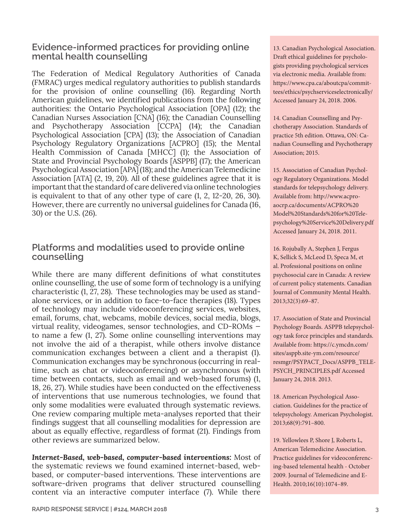## **Evidence-informed practices for providing online mental health counselling**

The Federation of Medical Regulatory Authorities of Canada (FMRAC) urges medical regulatory authorities to publish standards for the provision of online counselling (16). Regarding North American guidelines, we identified publications from the following authorities: the Ontario Psychological Association [OPA] (12); the Canadian Nurses Association [CNA] (16); the Canadian Counselling and Psychotherapy Association [CCPA] (14); the Canadian Psychological Association [CPA] (13); the Association of Canadian Psychology Regulatory Organizations [ACPRO] (15); the Mental Health Commission of Canada [MHCC] (1); the Association of State and Provincial Psychology Boards [ASPPB] (17); the American Psychological Association [APA] (18); and the American Telemedicine Association [ATA] (2, 19, 20). All of these guidelines agree that it is important that the standard of care delivered via online technologies is equivalent to that of any other type of care (1, 2, 12-20, 26, 30). However, there are currently no universal guidelines for Canada (16, 30) or the U.S. (26).

## **Platforms and modalities used to provide online counselling**

While there are many different definitions of what constitutes online counselling, the use of some form of technology is a unifying characteristic (1, 27, 28). These technologies may be used as standalone services, or in addition to face-to-face therapies (18). Types of technology may include videoconferencing services, websites, email, forums, chat, webcams, mobile devices, social media, blogs, virtual reality, videogames, sensor technologies, and CD-ROMs to name a few (1, 27). Some online counselling interventions may not involve the aid of a therapist, while others involve distance communication exchanges between a client and a therapist (1). Communication exchanges may be synchronous (occurring in realtime, such as chat or videoconferencing) or asynchronous (with time between contacts, such as email and web-based forums) (1, 18, 26, 27). While studies have been conducted on the effectiveness of interventions that use numerous technologies, we found that only some modalities were evaluated through systematic reviews. One review comparing multiple meta-analyses reported that their findings suggest that all counselling modalities for depression are about as equally effective, regardless of format (21). Findings from other reviews are summarized below.

*Internet-Based, web-based, computer-based interventions:* Most of the systematic reviews we found examined internet-based, webbased, or computer-based interventions. These interventions are software-driven programs that deliver structured counselling content via an interactive computer interface (7). While there

13. Canadian Psychological Association. Draft ethical guidelines for psychologists providing psychological services via electronic media. Available from: [https://www.cpa.ca/aboutcpa/commit](https://www.cpa.ca/aboutcpa/committees/ethics/psychserviceselectronically/)[tees/ethics/psychserviceselectronically/](https://www.cpa.ca/aboutcpa/committees/ethics/psychserviceselectronically/) Accessed January 24, 2018. 2006.

14. Canadian Counselling and Psychotherapy Association. Standards of practice 5th edition. Ottawa, ON: Canadian Counselling and Psychotherapy Association; 2015.

15. Association of Canadian Psychology Regulatory Organizations. Model standards for telepsychology delivery. Available from: [http://www.acpro](http://www.acpro-aocrp.ca/documents/ACPRO%20Model%20Standards%20for%20Telepsychology%20Service%20Delivery.pdf)[aocrp.ca/documents/ACPRO%20](http://www.acpro-aocrp.ca/documents/ACPRO%20Model%20Standards%20for%20Telepsychology%20Service%20Delivery.pdf) [Model%20Standards%20for%20Tele](http://www.acpro-aocrp.ca/documents/ACPRO%20Model%20Standards%20for%20Telepsychology%20Service%20Delivery.pdf)[psychology%20Service%20Delivery.pdf](http://www.acpro-aocrp.ca/documents/ACPRO%20Model%20Standards%20for%20Telepsychology%20Service%20Delivery.pdf)  Accessed January 24, 2018. 2011.

16. Rojubally A, Stephen J, Fergus K, Sellick S, McLeod D, Speca M, et al. Professional positions on online psychosocial care in Canada: A review of current policy statements. Canadian Journal of Community Mental Health. 2013;32(3):69–87.

17. Association of State and Provincial Psychology Boards. ASPPB telepsychology task force principles and standards. Available from: [https://c.ymcdn.com/](https://c.ymcdn.com/sites/asppb.site-ym.com/resource/resmgr/PSYPACT_Docs/ASPPB_TELEPSYCH_PRINCIPLES.pdf) [sites/asppb.site-ym.com/resource/](https://c.ymcdn.com/sites/asppb.site-ym.com/resource/resmgr/PSYPACT_Docs/ASPPB_TELEPSYCH_PRINCIPLES.pdf) [resmgr/PSYPACT\\_Docs/ASPPB\\_TELE-](https://c.ymcdn.com/sites/asppb.site-ym.com/resource/resmgr/PSYPACT_Docs/ASPPB_TELEPSYCH_PRINCIPLES.pdf)[PSYCH\\_PRINCIPLES.pdf](https://c.ymcdn.com/sites/asppb.site-ym.com/resource/resmgr/PSYPACT_Docs/ASPPB_TELEPSYCH_PRINCIPLES.pdf) Accessed January 24, 2018. 2013.

18. American Psychological Association. Guidelines for the practice of telepsychology. American Psychologist. 2013;68(9):791–800.

19. Yellowlees P, Shore J, Roberts L, American Telemedicine Association. Practice guidelines for videoconferencing-based telemental health - October 2009. Journal of Telemedicine and E-Health. 2010;16(10):1074–89.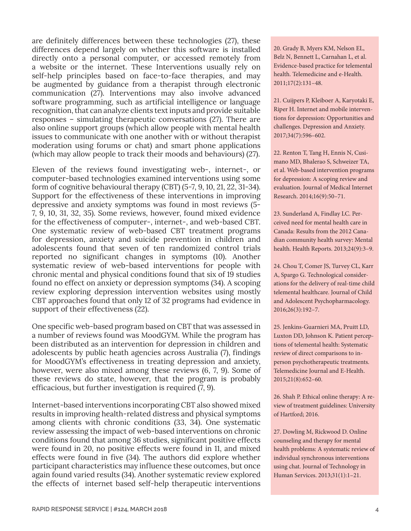are definitely differences between these technologies (27), these differences depend largely on whether this software is installed directly onto a personal computer, or accessed remotely from a website or the internet. These Interventions usually rely on self-help principles based on face-to-face therapies, and may be augmented by guidance from a therapist through electronic communication (27). Interventions may also involve advanced software programming, such as artificial intelligence or language recognition, that can analyze clients text inputs and provide suitable responses – simulating therapeutic conversations (27). There are also online support groups (which allow people with mental health issues to communicate with one another with or without therapist moderation using forums or chat) and smart phone applications (which may allow people to track their moods and behaviours) (27).

Eleven of the reviews found investigating web-, internet-, or computer-based technologies examined interventions using some form of cognitive behavioural therapy (CBT) (5-7, 9, 10, 21, 22, 31-34). Support for the effectiveness of these interventions in improving depressive and anxiety symptoms was found in most reviews (5-7, 9, 10, 31, 32, 35). Some reviews, however, found mixed evidence for the effectiveness of computer-, internet-, and web-based CBT. One systematic review of web-based CBT treatment programs for depression, anxiety and suicide prevention in children and adolescents found that seven of ten randomized control trials reported no significant changes in symptoms (10). Another systematic review of web-based interventions for people with chronic mental and physical conditions found that six of 19 studies found no effect on anxiety or depression symptoms (34). A scoping review exploring depression intervention websites using mostly CBT approaches found that only 12 of 32 programs had evidence in support of their effectiveness (22).

One specific web-based program based on CBT that was assessed in a number of reviews found was MoodGYM. While the program has been distributed as an intervention for depression in children and adolescents by public heath agencies across Australia (7), findings for MoodGYM's effectiveness in treating depression and anxiety, however, were also mixed among these reviews (6, 7, 9). Some of these reviews do state, however, that the program is probably efficacious, but further investigation is required (7, 9).

Internet-based interventions incorporating CBT also showed mixed results in improving health-related distress and physical symptoms among clients with chronic conditions (33, 34). One systematic review assessing the impact of web-based interventions on chronic conditions found that among 36 studies, significant positive effects were found in 20, no positive effects were found in 11, and mixed effects were found in five (34). The authors did explore whether participant characteristics may influence these outcomes, but once again found varied results (34). Another systematic review explored the effects of internet based self-help therapeutic interventions

20. Grady B, Myers KM, Nelson EL, Belz N, Bennett L, Carnahan L, et al. Evidence-based practice for telemental health. Telemedicine and e-Health. 2011;17(2):131–48.

21. Cuijpers P, Kleiboer A, Karyotaki E, Riper H. Internet and mobile interventions for depression: Opportunities and challenges. Depression and Anxiety. 2017;34(7):596–602.

22. Renton T, Tang H, Ennis N, Cusimano MD, Bhalerao S, Schweizer TA, et al. Web-based intervention programs for depression: A scoping review and evaluation. Journal of Medical Internet Research. 2014;16(9):50–71.

23. Sunderland A, Findlay LC. Perceived need for mental health care in Canada: Results from the 2012 Canadian community health survey: Mental health. Health Reports. 2013;24(9):3–9.

24. Chou T, Comer JS, Turvey CL, Karr A, Spargo G. Technological considerations for the delivery of real-time child telemental healthcare. Journal of Child and Adolescent Psychopharmacology. 2016;26(3):192–7.

25. Jenkins-Guarnieri MA, Pruitt LD, Luxton DD, Johnson K. Patient perceptions of telemental health: Systematic review of direct comparisons to inperson psychotherapeutic treatments. Telemedicine Journal and E-Health. 2015;21(8):652–60.

26. Shah P. Ethical online therapy: A review of treatment guidelines: University of Hartford; 2016.

27. Dowling M, Rickwood D. Online counseling and therapy for mental health problems: A systematic review of individual synchronous interventions using chat. Journal of Technology in Human Services. 2013;31(1):1–21.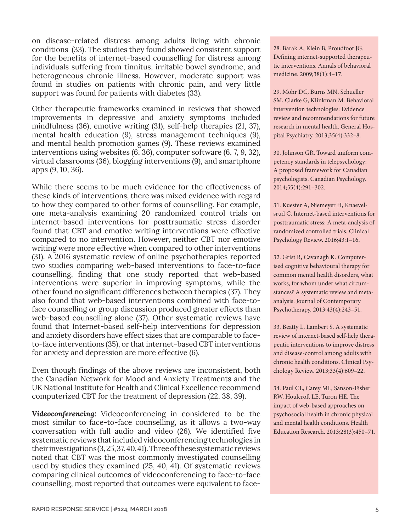on disease-related distress among adults living with chronic conditions (33). The studies they found showed consistent support for the benefits of internet-based counselling for distress among individuals suffering from tinnitus, irritable bowel syndrome, and heterogeneous chronic illness. However, moderate support was found in studies on patients with chronic pain, and very little support was found for patients with diabetes (33).

Other therapeutic frameworks examined in reviews that showed improvements in depressive and anxiety symptoms included mindfulness (36), emotive writing (31), self-help therapies (21, 37), mental health education (9), stress management techniques (9), and mental health promotion games (9). These reviews examined interventions using websites (6, 36), computer software (6, 7, 9, 32), virtual classrooms (36), blogging interventions (9), and smartphone apps (9, 10, 36).

While there seems to be much evidence for the effectiveness of these kinds of interventions, there was mixed evidence with regard to how they compared to other forms of counselling. For example, one meta-analysis examining 20 randomized control trials on internet-based interventions for posttraumatic stress disorder found that CBT and emotive writing interventions were effective compared to no intervention. However, neither CBT nor emotive writing were more effective when compared to other interventions (31). A 2016 systematic review of online psychotherapies reported two studies comparing web-based interventions to face-to-face counselling, finding that one study reported that web-based interventions were superior in improving symptoms, while the other found no significant differences between therapies (37). They also found that web-based interventions combined with face-toface counselling or group discussion produced greater effects than web-based counselling alone (37). Other systematic reviews have found that Internet-based self-help interventions for depression and anxiety disorders have effect sizes that are comparable to faceto-face interventions (35), or that internet-based CBT interventions for anxiety and depression are more effective (6).

Even though findings of the above reviews are inconsistent, both the Canadian Network for Mood and Anxiety Treatments and the UK National Institute for Health and Clinical Excellence recommend computerized CBT for the treatment of depression (22, 38, 39).

*Videoconferencing:* Videoconferencing in considered to be the most similar to face-to-face counselling, as it allows a two-way conversation with full audio and video (26). We identified five systematic reviews that included videoconferencing technologies in their investigations (3, 25, 37, 40, 41). Three of these systematic reviews noted that CBT was the most commonly investigated counselling used by studies they examined (25, 40, 41). Of systematic reviews comparing clinical outcomes of videoconferencing to face-to-face counselling, most reported that outcomes were equivalent to face28. Barak A, Klein B, Proudfoot JG. Defining internet-supported therapeutic interventions. Annals of behavioral medicine. 2009;38(1):4–17.

29. Mohr DC, Burns MN, Schueller SM, Clarke G, Klinkman M. Behavioral intervention technologies: Evidence review and recommendations for future research in mental health. General Hospital Psychiatry. 2013;35(4):332–8.

30. Johnson GR. Toward uniform competency standards in telepsychology: A proposed framework for Canadian psychologists. Canadian Psychology. 2014;55(4):291–302.

31. Kuester A, Niemeyer H, Knaevelsrud C. Internet-based interventions for posttraumatic stress: A meta-analysis of randomized controlled trials. Clinical Psychology Review. 2016;43:1–16.

32. Grist R, Cavanagh K. Computerised cognitive behavioural therapy for common mental health disorders, what works, for whom under what circumstances? A systematic review and metaanalysis. Journal of Contemporary Psychotherapy. 2013;43(4):243–51.

33. Beatty L, Lambert S. A systematic review of internet-based self-help therapeutic interventions to improve distress and disease-control among adults with chronic health conditions. Clinical Psychology Review. 2013;33(4):609–22.

34. Paul CL, Carey ML, Sanson-Fisher RW, Houlcroft LE, Turon HE. The impact of web-based approaches on psychosocial health in chronic physical and mental health conditions. Health Education Research. 2013;28(3):450–71.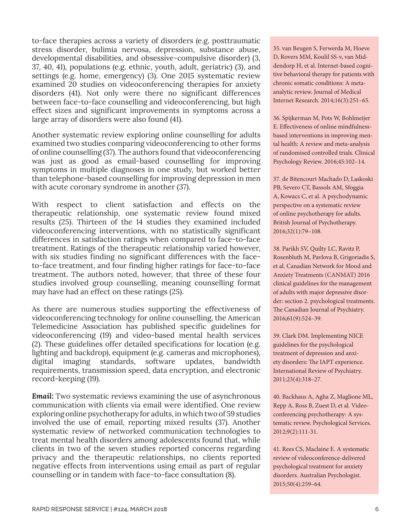to-face therapies across a variety of disorders (e.g. posttraumatic stress disorder, bulimia nervosa, depression, substance abuse, developmental disabilities, and obsessive-compulsive disorder) (3, 37, 40, 41), populations (e.g. ethnic, youth, adult, geriatric) (3), and settings (e.g. home, emergency) (3). One 2015 systematic review examined 20 studies on videoconferencing therapies for anxiety disorders (41). Not only were there no significant differences between face-to-face counselling and videoconferencing, but high effect sizes and significant improvements in symptoms across a large array of disorders were also found (41).

Another systematic review exploring online counselling for adults examined two studies comparing videoconferencing to other forms of online counselling (37). The authors found that videoconferencing was just as good as email-based counselling for improving symptoms in multiple diagnoses in one study, but worked better than telephone-based counselling for improving depression in men with acute coronary syndrome in another (37).

With respect to client satisfaction and effects on the therapeutic relationship, one systematic review found mixed results (25). Thirteen of the 14 studies they examined included videoconferencing interventions, with no statistically significant differences in satisfaction ratings when compared to face-to-face treatment. Ratings of the therapeutic relationship varied however, with six studies finding no significant differences with the faceto-face treatment, and four finding higher ratings for face-to-face treatment. The authors noted, however, that three of these four studies involved group counselling, meaning counselling format may have had an effect on these ratings (25).

As there are numerous studies supporting the effectiveness of videoconferencing technology for online counselling, the American Telemedicine Association has published specific guidelines for videoconferencing (19) and video-based mental health services (2). These guidelines offer detailed specifications for location (e.g. lighting and backdrop), equipment (e.g. cameras and microphones), digital imaging standards, software updates, bandwidth requirements, transmission speed, data encryption, and electronic record-keeping (19).

*Email:* Two systematic reviews examining the use of asynchronous communication with clients via email were identified. One review exploring online psychotherapy for adults, in which two of 59 studies involved the use of email, reporting mixed results (37). Another systematic review of networked communication technologies to treat mental health disorders among adolescents found that, while clients in two of the seven studies reported concerns regarding privacy and the therapeutic relationships, no clients reported negative effects from interventions using email as part of regular counselling or in tandem with face-to-face consultation (8).

35. van Beugen S, Ferwerda M, Hoeve D, Rovers MM, Koulil SS-v, van Middendorp H, et al. Internet-based cognitive behavioral therapy for patients with chronic somatic conditions: A metaanalytic review. Journal of Medical Internet Research. 2014;16(3):251–65.

36. Spijkerman M, Pots W, Bohlmeijer E. Effectiveness of online mindfulnessbased interventions in improving mental health: A review and meta-analysis of randomised controlled trials. Clinical Psychology Review. 2016;45:102–14.

37. de Bitencourt Machado D, Laskoski PB, Severo CT, Bassols AM, Sfoggia A, Kowacs C, et al. A psychodynamic perspective on a systematic review of online psychotherapy for adults. British Journal of Psychotherapy. 2016;32(1):79–108.

38. Parikh SV, Quilty LC, Ravitz P, Rosenbluth M, Pavlova B, Grigoriadis S, et al. Canadian Network for Mood and Anxiety Treatments (CANMAT) 2016 clinical guidelines for the management of adults with major depressive disorder: section 2. psychological treatments. The Canadian Journal of Psychiatry. 2016;61(9):524–39.

39. Clark DM. Implementing NICE guidelines for the psychological treatment of depression and anxiety disorders: The IAPT experience. International Review of Psychiatry. 2011;23(4):318–27.

40. Backhaus A, Agha Z, Maglione ML, Repp A, Ross B, Zuest D, et al. Videoconferencing psychotherapy: A systematic review. Psychological Services. 2012;9(2):111-31.

41. Rees CS, Maclaine E. A systematic review of videoconference-delivered psychological treatment for anxiety disorders. Australian Psychologist. 2015;50(4):259–64.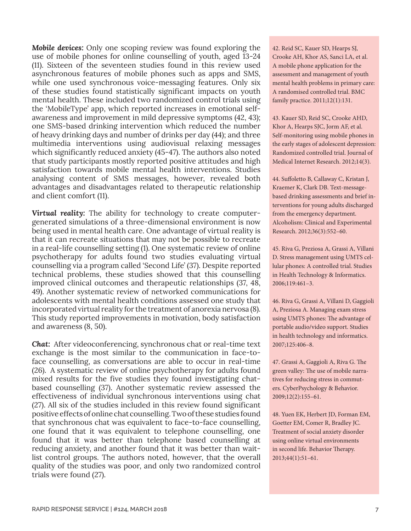*Mobile devices:* Only one scoping review was found exploring the use of mobile phones for online counselling of youth, aged 13-24 (11). Sixteen of the seventeen studies found in this review used asynchronous features of mobile phones such as apps and SMS, while one used synchronous voice-messaging features. Only six of these studies found statistically significant impacts on youth mental health. These included two randomized control trials using the 'MobileType' app, which reported increases in emotional selfawareness and improvement in mild depressive symptoms (42, 43); one SMS-based drinking intervention which reduced the number of heavy drinking days and number of drinks per day (44); and three multimedia interventions using audiovisual relaxing messages which significantly reduced anxiety (45-47). The authors also noted that study participants mostly reported positive attitudes and high satisfaction towards mobile mental health interventions. Studies analysing content of SMS messages, however, revealed both advantages and disadvantages related to therapeutic relationship and client comfort (11).

*Virtual reality:* The ability for technology to create computergenerated simulations of a three-dimensional environment is now being used in mental health care. One advantage of virtual reality is that it can recreate situations that may not be possible to recreate in a real-life counselling setting (1). One systematic review of online psychotherapy for adults found two studies evaluating virtual counselling via a program called 'Second Life' (37). Despite reported technical problems, these studies showed that this counselling improved clinical outcomes and therapeutic relationships (37, 48, 49). Another systematic review of networked communications for adolescents with mental health conditions assessed one study that incorporated virtual reality for the treatment of anorexia nervosa (8). This study reported improvements in motivation, body satisfaction and awareness (8, 50).

*Chat:* After videoconferencing, synchronous chat or real-time text exchange is the most similar to the communication in face-toface counselling, as conversations are able to occur in real-time (26). A systematic review of online psychotherapy for adults found mixed results for the five studies they found investigating chatbased counselling (37). Another systematic review assessed the effectiveness of individual synchronous interventions using chat (27). All six of the studies included in this review found significant positive effects of online chat counselling. Two of these studies found that synchronous chat was equivalent to face-to-face counselling, one found that it was equivalent to telephone counselling, one found that it was better than telephone based counselling at reducing anxiety, and another found that it was better than waitlist control groups. The authors noted, however, that the overall quality of the studies was poor, and only two randomized control trials were found (27).

42. Reid SC, Kauer SD, Hearps SJ, Crooke AH, Khor AS, Sanci LA, et al. A mobile phone application for the assessment and management of youth mental health problems in primary care: A randomised controlled trial. BMC family practice. 2011;12(1):131.

43. Kauer SD, Reid SC, Crooke AHD, Khor A, Hearps SJC, Jorm AF, et al. Self-monitoring using mobile phones in the early stages of adolescent depression: Randomized controlled trial. Journal of Medical Internet Research. 2012;14(3).

44. Suffoletto B, Callaway C, Kristan J, Kraemer K, Clark DB. Text‐message‐ based drinking assessments and brief interventions for young adults discharged from the emergency department. Alcoholism: Clinical and Experimental Research. 2012;36(3):552–60.

45. Riva G, Preziosa A, Grassi A, Villani D. Stress management using UMTS cellular phones: A controlled trial. Studies in Health Technology & Informatics. 2006;119:461–3.

46. Riva G, Grassi A, Villani D, Gaggioli A, Preziosa A. Managing exam stress using UMTS phones: The advantage of portable audio/video support. Studies in health technology and informatics. 2007;125:406–8.

47. Grassi A, Gaggioli A, Riva G. The green valley: The use of mobile narratives for reducing stress in commuters. CyberPsychology & Behavior. 2009;12(2):155–61.

48. Yuen EK, Herbert JD, Forman EM, Goetter EM, Comer R, Bradley JC. Treatment of social anxiety disorder using online virtual environments in second life. Behavior Therapy. 2013;44(1):51–61.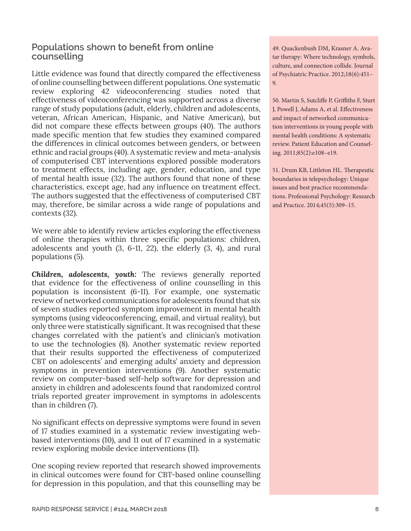## **Populations shown to benefit from online counselling**

Little evidence was found that directly compared the effectiveness of online counselling between different populations. One systematic review exploring 42 videoconferencing studies noted that effectiveness of videoconferencing was supported across a diverse range of study populations (adult, elderly, children and adolescents, veteran, African American, Hispanic, and Native American), but did not compare these effects between groups (40). The authors made specific mention that few studies they examined compared the differences in clinical outcomes between genders, or between ethnic and racial groups (40). A systematic review and meta-analysis of computerised CBT interventions explored possible moderators to treatment effects, including age, gender, education, and type of mental health issue (32). The authors found that none of these characteristics, except age, had any influence on treatment effect. The authors suggested that the effectiveness of computerised CBT may, therefore, be similar across a wide range of populations and contexts (32).

We were able to identify review articles exploring the effectiveness of online therapies within three specific populations: children, adolescents and youth (3, 6-11, 22), the elderly (3, 4), and rural populations (5).

*Children, adolescents, youth:* The reviews generally reported that evidence for the effectiveness of online counselling in this population is inconsistent (6-11). For example, one systematic review of networked communications for adolescents found that six of seven studies reported symptom improvement in mental health symptoms (using videoconferencing, email, and virtual reality), but only three were statistically significant. It was recognised that these changes correlated with the patient's and clinician's motivation to use the technologies (8). Another systematic review reported that their results supported the effectiveness of computerized CBT on adolescents' and emerging adults' anxiety and depression symptoms in prevention interventions (9). Another systematic review on computer-based self-help software for depression and anxiety in children and adolescents found that randomized control trials reported greater improvement in symptoms in adolescents than in children (7).

No significant effects on depressive symptoms were found in seven of 17 studies examined in a systematic review investigating webbased interventions (10), and 11 out of 17 examined in a systematic review exploring mobile device interventions (11).

One scoping review reported that research showed improvements in clinical outcomes were found for CBT-based online counselling for depression in this population, and that this counselling may be

49. Quackenbush DM, Krasner A. Avatar therapy: Where technology, symbols, culture, and connection collide. Journal of Psychiatric Practice. 2012;18(6):451– 9.

50. Martin S, Sutcliffe P, Griffiths F, Sturt J, Powell J, Adams A, et al. Effectiveness and impact of networked communication interventions in young people with mental health conditions: A systematic review. Patient Education and Counseling. 2011;85(2):e108–e19.

51. Drum KB, Littleton HL. Therapeutic boundaries in telepsychology: Unique issues and best practice recommendations. Professional Psychology: Research and Practice. 2014;45(5):309–15.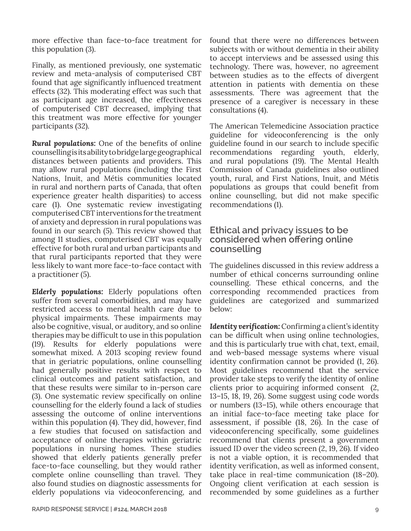more effective than face-to-face treatment for this population (3).

Finally, as mentioned previously, one systematic review and meta-analysis of computerised CBT found that age significantly influenced treatment effects (32). This moderating effect was such that as participant age increased, the effectiveness of computerised CBT decreased, implying that this treatment was more effective for younger participants (32).

*Rural populations:* One of the benefits of online counselling is its ability to bridge large geographical distances between patients and providers. This may allow rural populations (including the First Nations, Inuit, and Métis communities located in rural and northern parts of Canada, that often experience greater health disparities) to access care (1). One systematic review investigating computerised CBT interventions for the treatment of anxiety and depression in rural populations was found in our search (5). This review showed that among 11 studies, computerised CBT was equally effective for both rural and urban participants and that rural participants reported that they were less likely to want more face-to-face contact with a practitioner (5).

*Elderly populations:* Elderly populations often suffer from several comorbidities, and may have restricted access to mental health care due to physical impairments. These impairments may also be cognitive, visual, or auditory, and so online therapies may be difficult to use in this population (19). Results for elderly populations were somewhat mixed. A 2013 scoping review found that in geriatric populations, online counselling had generally positive results with respect to clinical outcomes and patient satisfaction, and that these results were similar to in-person care (3). One systematic review specifically on online counselling for the elderly found a lack of studies assessing the outcome of online interventions within this population (4). They did, however, find a few studies that focused on satisfaction and acceptance of online therapies within geriatric populations in nursing homes. These studies showed that elderly patients generally prefer face-to-face counselling, but they would rather complete online counselling than travel. They also found studies on diagnostic assessments for elderly populations via videoconferencing, and

found that there were no differences between subjects with or without dementia in their ability to accept interviews and be assessed using this technology. There was, however, no agreement between studies as to the effects of divergent attention in patients with dementia on these assessments. There was agreement that the presence of a caregiver is necessary in these consultations (4).

The American Telemedicine Association practice guideline for videoconferencing is the only guideline found in our search to include specific recommendations regarding youth, elderly, and rural populations (19). The Mental Health Commission of Canada guidelines also outlined youth, rural, and First Nations, Inuit, and Métis populations as groups that could benefit from online counselling, but did not make specific recommendations (1).

#### **Ethical and privacy issues to be considered when offering online counselling**

The guidelines discussed in this review address a number of ethical concerns surrounding online counselling. These ethical concerns, and the corresponding recommended practices from guidelines are categorized and summarized below:

*Identity verification:* Confirming a client's identity can be difficult when using online technologies, and this is particularly true with chat, text, email, and web-based message systems where visual identity confirmation cannot be provided (1, 26). Most guidelines recommend that the service provider take steps to verify the identity of online clients prior to acquiring informed consent (2, 13–15, 18, 19, 26). Some suggest using code words or numbers (13–15), while others encourage that an initial face-to-face meeting take place for assessment, if possible (18, 26). In the case of videoconferencing specifically, some guidelines recommend that clients present a government issued ID over the video screen (2, 19, 26). If video is not a viable option, it is recommended that identity verification, as well as informed consent, take place in real-time communication (18–20). Ongoing client verification at each session is recommended by some guidelines as a further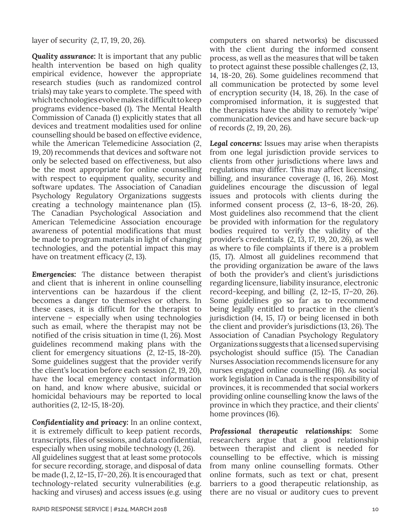layer of security (2, 17, 19, 20, 26).

**Quality assurance:** It is important that any public health intervention be based on high quality empirical evidence, however the appropriate research studies (such as randomized control trials) may take years to complete. The speed with which technologies evolve makes it difficult to keep programs evidence-based (1). The Mental Health Commission of Canada (1) explicitly states that all devices and treatment modalities used for online counselling should be based on effective evidence, while the American Telemedicine Association (2, 19, 20) recommends that devices and software not only be selected based on effectiveness, but also be the most appropriate for online counselling with respect to equipment quality, security and software updates. The Association of Canadian Psychology Regulatory Organizations suggests creating a technology maintenance plan (15). The Canadian Psychological Association and American Telemedicine Association encourage awareness of potential modifications that must be made to program materials in light of changing technologies, and the potential impact this may have on treatment efficacy (2, 13).

*Emergencies:* The distance between therapist and client that is inherent in online counselling interventions can be hazardous if the client becomes a danger to themselves or others. In these cases, it is difficult for the therapist to intervene – especially when using technologies such as email, where the therapist may not be notified of the crisis situation in time (1, 26). Most guidelines recommend making plans with the client for emergency situations (2, 12-15, 18-20). Some guidelines suggest that the provider verify the client's location before each session (2, 19, 20), have the local emergency contact information on hand, and know where abusive, suicidal or homicidal behaviours may be reported to local authorities (2, 12-15, 18-20).

*Confidentiality and privacy:* In an online context, it is extremely difficult to keep patient records, transcripts, files of sessions, and data confidential, especially when using mobile technology (1, 26). All guidelines suggest that at least some protocols for secure recording, storage, and disposal of data be made (1, 2, 12–15, 17–20, 26). It is encouraged that technology-related security vulnerabilities (e.g. hacking and viruses) and access issues (e.g. using computers on shared networks) be discussed with the client during the informed consent process, as well as the measures that will be taken to protect against these possible challenges (2, 13, 14, 18-20, 26). Some guidelines recommend that all communication be protected by some level of encryption security (14, 18, 26). In the case of compromised information, it is suggested that the therapists have the ability to remotely 'wipe' communication devices and have secure back-up of records (2, 19, 20, 26).

*Legal concerns:* Issues may arise when therapists from one legal jurisdiction provide services to clients from other jurisdictions where laws and regulations may differ. This may affect licensing, billing, and insurance coverage (1, 16, 26). Most guidelines encourage the discussion of legal issues and protocols with clients during the informed consent process (2, 13–6, 18-20, 26). Most guidelines also recommend that the client be provided with information for the regulatory bodies required to verify the validity of the provider's credentials (2, 13, 17, 19, 20, 26), as well as where to file complaints if there is a problem (15, 17). Almost all guidelines recommend that the providing organization be aware of the laws of both the provider's and client's jurisdictions regarding licensure, liability insurance, electronic record-keeping, and billing (2, 12–15, 17–20, 26). Some guidelines go so far as to recommend being legally entitled to practice in the client's jurisdiction (14, 15, 17) or being licensed in both the client and provider's jurisdictions (13, 26). The Association of Canadian Psychology Regulatory Organizations suggests that a licensed supervising psychologist should suffice (15). The Canadian Nurses Association recommends licensure for any nurses engaged online counselling (16). As social work legislation in Canada is the responsibility of provinces, it is recommended that social workers providing online counselling know the laws of the province in which they practice, and their clients' home provinces (16).

*Professional therapeutic relationships:* Some researchers argue that a good relationship between therapist and client is needed for counselling to be effective, which is missing from many online counselling formats. Other online formats, such as text or chat, present barriers to a good therapeutic relationship, as there are no visual or auditory cues to prevent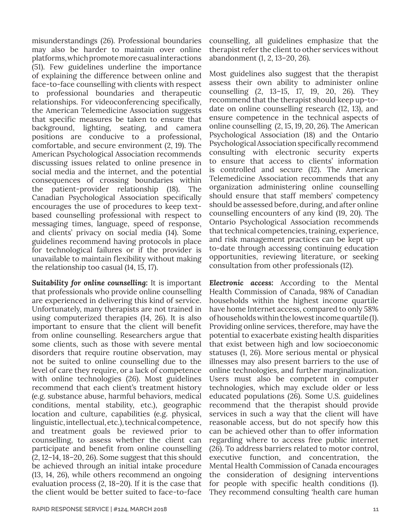misunderstandings (26). Professional boundaries may also be harder to maintain over online platforms, which promote more casual interactions (51). Few guidelines underline the importance of explaining the difference between online and face-to-face counselling with clients with respect to professional boundaries and therapeutic relationships. For videoconferencing specifically, the American Telemedicine Association suggests that specific measures be taken to ensure that background, lighting, seating, and camera positions are conducive to a professional, comfortable, and secure environment (2, 19). The American Psychological Association recommends discussing issues related to online presence in social media and the internet, and the potential consequences of crossing boundaries within the patient-provider relationship (18). The Canadian Psychological Association specifically encourages the use of procedures to keep textbased counselling professional with respect to messaging times, language, speed of response, and clients' privacy on social media (14). Some guidelines recommend having protocols in place for technological failures or if the provider is unavailable to maintain flexibility without making the relationship too casual (14, 15, 17).

*Suitability for online counselling:* It is important that professionals who provide online counselling are experienced in delivering this kind of service. Unfortunately, many therapists are not trained in using computerized therapies (14, 26). It is also important to ensure that the client will benefit from online counselling. Researchers argue that some clients, such as those with severe mental disorders that require routine observation, may not be suited to online counselling due to the level of care they require, or a lack of competence with online technologies (26). Most guidelines recommend that each client's treatment history (e.g. substance abuse, harmful behaviors, medical conditions, mental stability, etc.), geographic location and culture, capabilities (e.g. physical, linguistic, intellectual, etc.), technical competence, and treatment goals be reviewed prior to counselling, to assess whether the client can participate and benefit from online counselling (2, 12–14, 18–20, 26). Some suggest that this should be achieved through an initial intake procedure (13, 14, 26), while others recommend an ongoing evaluation process (2, 18–20). If it is the case that the client would be better suited to face-to-face

counselling, all guidelines emphasize that the therapist refer the client to other services without abandonment (1, 2, 13–20, 26).

Most guidelines also suggest that the therapist assess their own ability to administer online counselling (2, 13–15, 17, 19, 20, 26). They recommend that the therapist should keep up-todate on online counselling research (12, 13), and ensure competence in the technical aspects of online counselling (2, 15, 19, 20, 26). The American Psychological Association (18) and the Ontario Psychological Association specifically recommend consulting with electronic security experts to ensure that access to clients' information is controlled and secure (12). The American Telemedicine Association recommends that any organization administering online counselling should ensure that staff members' competency should be assessed before, during, and after online counselling encounters of any kind (19, 20). The Ontario Psychological Association recommends that technical competencies, training, experience, and risk management practices can be kept upto-date through accessing continuing education opportunities, reviewing literature, or seeking consultation from other professionals (12).

*Electronic access:* According to the Mental Health Commission of Canada, 98% of Canadian households within the highest income quartile have home Internet access, compared to only 58% of households within the lowest income quartile (1). Providing online services, therefore, may have the potential to exacerbate existing health disparities that exist between high and low socioeconomic statuses (1, 26). More serious mental or physical illnesses may also present barriers to the use of online technologies, and further marginalization. Users must also be competent in computer technologies, which may exclude older or less educated populations (26). Some U.S. guidelines recommend that the therapist should provide services in such a way that the client will have reasonable access, but do not specify how this can be achieved other than to offer information regarding where to access free public internet (26). To address barriers related to motor control, executive function, and concentration, the Mental Health Commission of Canada encourages the consideration of designing interventions for people with specific health conditions (1). They recommend consulting 'health care human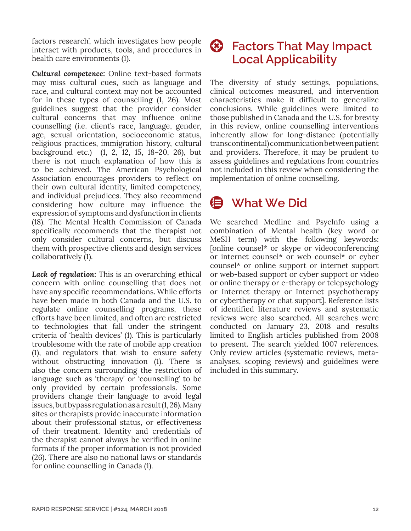factors research', which investigates how people interact with products, tools, and procedures in health care environments (1).

*Cultural competence:* Online text-based formats may miss cultural cues, such as language and race, and cultural context may not be accounted for in these types of counselling (1, 26). Most guidelines suggest that the provider consider cultural concerns that may influence online counselling (i.e. client's race, language, gender, age, sexual orientation, socioeconomic status, religious practices, immigration history, cultural background etc.) (1, 2, 12, 15, 18–20, 26), but there is not much explanation of how this is to be achieved. The American Psychological Association encourages providers to reflect on their own cultural identity, limited competency, and individual prejudices. They also recommend considering how culture may influence the expression of symptoms and dysfunction in clients (18). The Mental Health Commission of Canada specifically recommends that the therapist not only consider cultural concerns, but discuss them with prospective clients and design services collaboratively (1).

*Lack of regulation:* This is an overarching ethical concern with online counselling that does not have any specific recommendations. While efforts have been made in both Canada and the U.S. to regulate online counselling programs, these efforts have been limited, and often are restricted to technologies that fall under the stringent criteria of 'health devices' (1). This is particularly troublesome with the rate of mobile app creation (1), and regulators that wish to ensure safety without obstructing innovation (1). There is also the concern surrounding the restriction of language such as 'therapy' or 'counselling' to be only provided by certain professionals. Some providers change their language to avoid legal issues, but bypass regulation as a result (1, 26). Many sites or therapists provide inaccurate information about their professional status, or effectiveness of their treatment. Identity and credentials of the therapist cannot always be verified in online formats if the proper information is not provided (26). There are also no national laws or standards for online counselling in Canada (1).

## **Factors That May Impact Local Applicability**

The diversity of study settings, populations, clinical outcomes measured, and intervention characteristics make it difficult to generalize conclusions. While guidelines were limited to those published in Canada and the U.S. for brevity in this review, online counselling interventions inherently allow for long-distance (potentially transcontinental) communication between patient and providers. Therefore, it may be prudent to assess guidelines and regulations from countries not included in this review when considering the implementation of online counselling.

# **What We Did**

We searched Medline and PsycInfo using a combination of Mental health (key word or MeSH term) with the following keywords: [online counsel\* or skype or videoconferencing or internet counsel\* or web counsel\* or cyber counsel\* or online support or internet support or web-based support or cyber support or video or online therapy or e-therapy or telepsychology or Internet therapy or Internet psychotherapy or cybertherapy or chat support]. Reference lists of identified literature reviews and systematic reviews were also searched. All searches were conducted on January 23, 2018 and results limited to English articles published from 2008 to present. The search yielded 1007 references. Only review articles (systematic reviews, metaanalyses, scoping reviews) and guidelines were included in this summary.